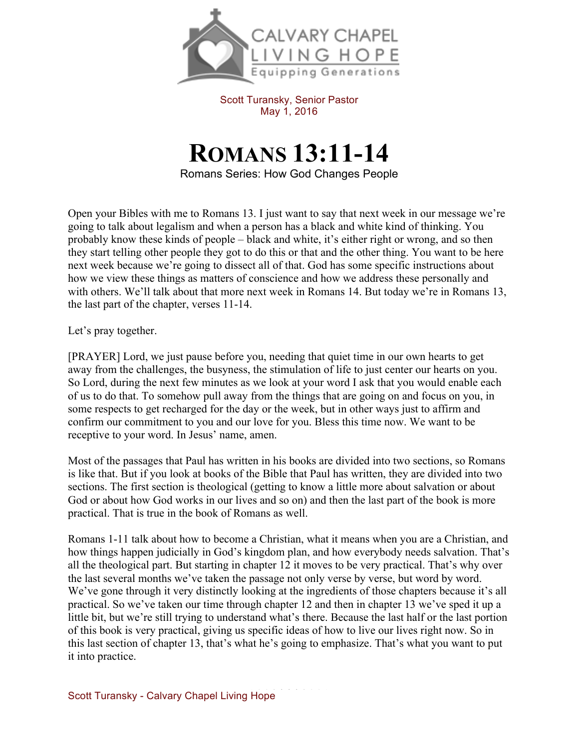

Scott Turansky, Senior Pastor May 1, 2016

## **ROMANS 13:11-14**

Romans Series: How God Changes People

Open your Bibles with me to Romans 13. I just want to say that next week in our message we're going to talk about legalism and when a person has a black and white kind of thinking. You probably know these kinds of people – black and white, it's either right or wrong, and so then they start telling other people they got to do this or that and the other thing. You want to be here next week because we're going to dissect all of that. God has some specific instructions about how we view these things as matters of conscience and how we address these personally and with others. We'll talk about that more next week in Romans 14. But today we're in Romans 13, the last part of the chapter, verses 11-14.

Let's pray together.

[PRAYER] Lord, we just pause before you, needing that quiet time in our own hearts to get away from the challenges, the busyness, the stimulation of life to just center our hearts on you. So Lord, during the next few minutes as we look at your word I ask that you would enable each of us to do that. To somehow pull away from the things that are going on and focus on you, in some respects to get recharged for the day or the week, but in other ways just to affirm and confirm our commitment to you and our love for you. Bless this time now. We want to be receptive to your word. In Jesus' name, amen.

Most of the passages that Paul has written in his books are divided into two sections, so Romans is like that. But if you look at books of the Bible that Paul has written, they are divided into two sections. The first section is theological (getting to know a little more about salvation or about God or about how God works in our lives and so on) and then the last part of the book is more practical. That is true in the book of Romans as well.

Romans 1-11 talk about how to become a Christian, what it means when you are a Christian, and how things happen judicially in God's kingdom plan, and how everybody needs salvation. That's all the theological part. But starting in chapter 12 it moves to be very practical. That's why over the last several months we've taken the passage not only verse by verse, but word by word. We've gone through it very distinctly looking at the ingredients of those chapters because it's all practical. So we've taken our time through chapter 12 and then in chapter 13 we've sped it up a little bit, but we're still trying to understand what's there. Because the last half or the last portion of this book is very practical, giving us specific ideas of how to live our lives right now. So in this last section of chapter 13, that's what he's going to emphasize. That's what you want to put it into practice.

Scott Turansky - Calvary Chapel Living Hope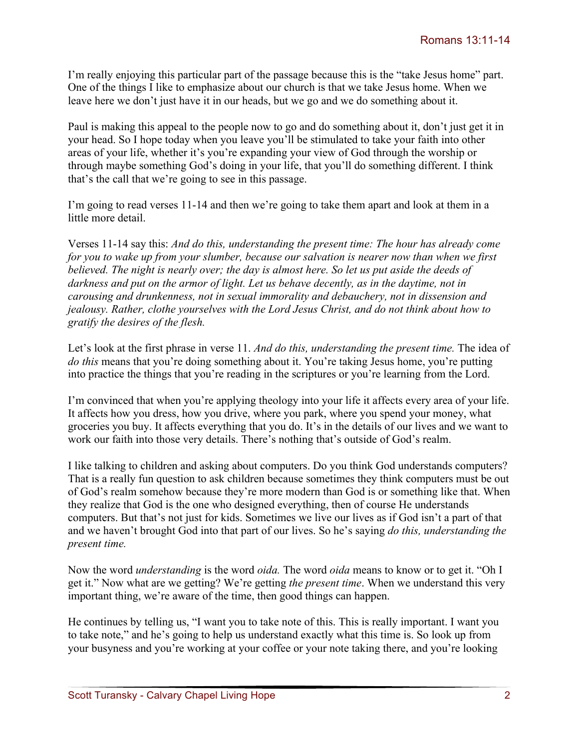I'm really enjoying this particular part of the passage because this is the "take Jesus home" part. One of the things I like to emphasize about our church is that we take Jesus home. When we leave here we don't just have it in our heads, but we go and we do something about it.

Paul is making this appeal to the people now to go and do something about it, don't just get it in your head. So I hope today when you leave you'll be stimulated to take your faith into other areas of your life, whether it's you're expanding your view of God through the worship or through maybe something God's doing in your life, that you'll do something different. I think that's the call that we're going to see in this passage.

I'm going to read verses 11-14 and then we're going to take them apart and look at them in a little more detail.

Verses 11-14 say this: *And do this, understanding the present time: The hour has already come for you to wake up from your slumber, because our salvation is nearer now than when we first believed. The night is nearly over; the day is almost here. So let us put aside the deeds of darkness and put on the armor of light. Let us behave decently, as in the daytime, not in carousing and drunkenness, not in sexual immorality and debauchery, not in dissension and jealousy. Rather, clothe yourselves with the Lord Jesus Christ, and do not think about how to gratify the desires of the flesh.*

Let's look at the first phrase in verse 11. *And do this, understanding the present time.* The idea of *do this* means that you're doing something about it. You're taking Jesus home, you're putting into practice the things that you're reading in the scriptures or you're learning from the Lord.

I'm convinced that when you're applying theology into your life it affects every area of your life. It affects how you dress, how you drive, where you park, where you spend your money, what groceries you buy. It affects everything that you do. It's in the details of our lives and we want to work our faith into those very details. There's nothing that's outside of God's realm.

I like talking to children and asking about computers. Do you think God understands computers? That is a really fun question to ask children because sometimes they think computers must be out of God's realm somehow because they're more modern than God is or something like that. When they realize that God is the one who designed everything, then of course He understands computers. But that's not just for kids. Sometimes we live our lives as if God isn't a part of that and we haven't brought God into that part of our lives. So he's saying *do this, understanding the present time.*

Now the word *understanding* is the word *oida.* The word *oida* means to know or to get it. "Oh I get it." Now what are we getting? We're getting *the present time*. When we understand this very important thing, we're aware of the time, then good things can happen.

He continues by telling us, "I want you to take note of this. This is really important. I want you to take note," and he's going to help us understand exactly what this time is. So look up from your busyness and you're working at your coffee or your note taking there, and you're looking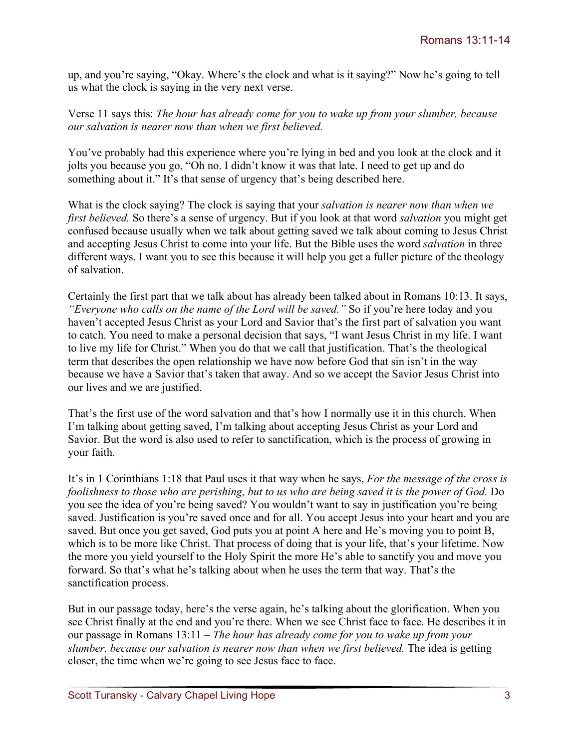up, and you're saying, "Okay. Where's the clock and what is it saying?" Now he's going to tell us what the clock is saying in the very next verse.

Verse 11 says this: *The hour has already come for you to wake up from your slumber, because our salvation is nearer now than when we first believed.* 

You've probably had this experience where you're lying in bed and you look at the clock and it jolts you because you go, "Oh no. I didn't know it was that late. I need to get up and do something about it." It's that sense of urgency that's being described here.

What is the clock saying? The clock is saying that your *salvation is nearer now than when we first believed.* So there's a sense of urgency. But if you look at that word *salvation* you might get confused because usually when we talk about getting saved we talk about coming to Jesus Christ and accepting Jesus Christ to come into your life. But the Bible uses the word *salvation* in three different ways. I want you to see this because it will help you get a fuller picture of the theology of salvation.

Certainly the first part that we talk about has already been talked about in Romans 10:13. It says, *"Everyone who calls on the name of the Lord will be saved."* So if you're here today and you haven't accepted Jesus Christ as your Lord and Savior that's the first part of salvation you want to catch. You need to make a personal decision that says, "I want Jesus Christ in my life. I want to live my life for Christ." When you do that we call that justification. That's the theological term that describes the open relationship we have now before God that sin isn't in the way because we have a Savior that's taken that away. And so we accept the Savior Jesus Christ into our lives and we are justified.

That's the first use of the word salvation and that's how I normally use it in this church. When I'm talking about getting saved, I'm talking about accepting Jesus Christ as your Lord and Savior. But the word is also used to refer to sanctification, which is the process of growing in your faith.

It's in 1 Corinthians 1:18 that Paul uses it that way when he says, *For the message of the cross is foolishness to those who are perishing, but to us who are being saved it is the power of God.* Do you see the idea of you're being saved? You wouldn't want to say in justification you're being saved. Justification is you're saved once and for all. You accept Jesus into your heart and you are saved. But once you get saved, God puts you at point A here and He's moving you to point B, which is to be more like Christ. That process of doing that is your life, that's your lifetime. Now the more you yield yourself to the Holy Spirit the more He's able to sanctify you and move you forward. So that's what he's talking about when he uses the term that way. That's the sanctification process.

But in our passage today, here's the verse again, he's talking about the glorification. When you see Christ finally at the end and you're there. When we see Christ face to face. He describes it in our passage in Romans 13:11 – *The hour has already come for you to wake up from your slumber, because our salvation is nearer now than when we first believed.* The idea is getting closer, the time when we're going to see Jesus face to face.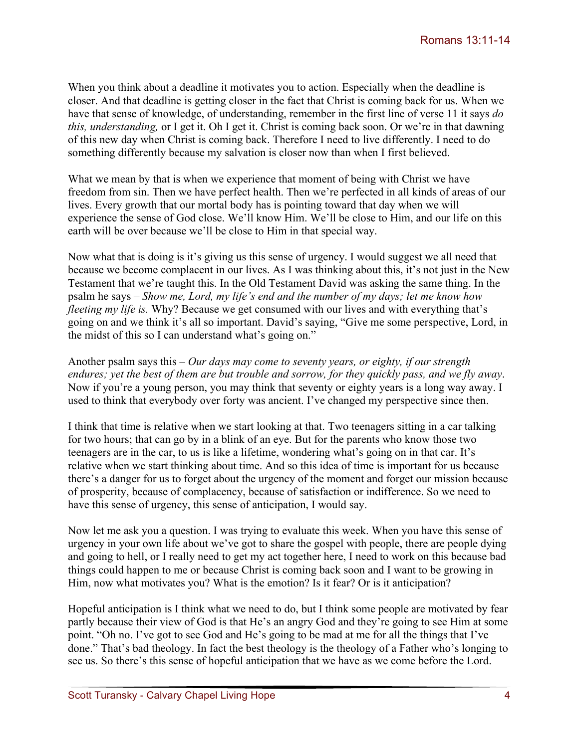When you think about a deadline it motivates you to action. Especially when the deadline is closer. And that deadline is getting closer in the fact that Christ is coming back for us. When we have that sense of knowledge, of understanding, remember in the first line of verse 11 it says *do this, understanding,* or I get it. Oh I get it. Christ is coming back soon. Or we're in that dawning of this new day when Christ is coming back. Therefore I need to live differently. I need to do something differently because my salvation is closer now than when I first believed.

What we mean by that is when we experience that moment of being with Christ we have freedom from sin. Then we have perfect health. Then we're perfected in all kinds of areas of our lives. Every growth that our mortal body has is pointing toward that day when we will experience the sense of God close. We'll know Him. We'll be close to Him, and our life on this earth will be over because we'll be close to Him in that special way.

Now what that is doing is it's giving us this sense of urgency. I would suggest we all need that because we become complacent in our lives. As I was thinking about this, it's not just in the New Testament that we're taught this. In the Old Testament David was asking the same thing. In the psalm he says – *Show me, Lord, my life's end and the number of my days; let me know how fleeting my life is.* Why? Because we get consumed with our lives and with everything that's going on and we think it's all so important. David's saying, "Give me some perspective, Lord, in the midst of this so I can understand what's going on."

Another psalm says this – *Our days may come to seventy years, or eighty, if our strength endures; yet the best of them are but trouble and sorrow, for they quickly pass, and we fly away*. Now if you're a young person, you may think that seventy or eighty years is a long way away. I used to think that everybody over forty was ancient. I've changed my perspective since then.

I think that time is relative when we start looking at that. Two teenagers sitting in a car talking for two hours; that can go by in a blink of an eye. But for the parents who know those two teenagers are in the car, to us is like a lifetime, wondering what's going on in that car. It's relative when we start thinking about time. And so this idea of time is important for us because there's a danger for us to forget about the urgency of the moment and forget our mission because of prosperity, because of complacency, because of satisfaction or indifference. So we need to have this sense of urgency, this sense of anticipation, I would say.

Now let me ask you a question. I was trying to evaluate this week. When you have this sense of urgency in your own life about we've got to share the gospel with people, there are people dying and going to hell, or I really need to get my act together here, I need to work on this because bad things could happen to me or because Christ is coming back soon and I want to be growing in Him, now what motivates you? What is the emotion? Is it fear? Or is it anticipation?

Hopeful anticipation is I think what we need to do, but I think some people are motivated by fear partly because their view of God is that He's an angry God and they're going to see Him at some point. "Oh no. I've got to see God and He's going to be mad at me for all the things that I've done." That's bad theology. In fact the best theology is the theology of a Father who's longing to see us. So there's this sense of hopeful anticipation that we have as we come before the Lord.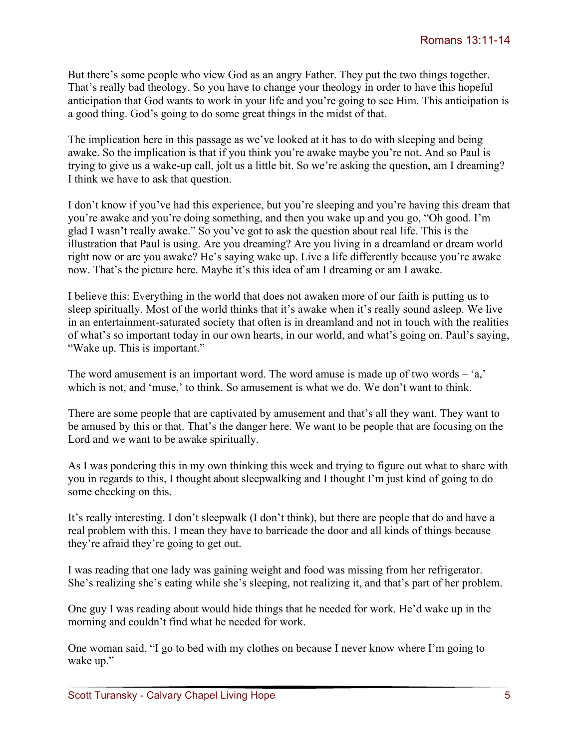But there's some people who view God as an angry Father. They put the two things together. That's really bad theology. So you have to change your theology in order to have this hopeful anticipation that God wants to work in your life and you're going to see Him. This anticipation is a good thing. God's going to do some great things in the midst of that.

The implication here in this passage as we've looked at it has to do with sleeping and being awake. So the implication is that if you think you're awake maybe you're not. And so Paul is trying to give us a wake-up call, jolt us a little bit. So we're asking the question, am I dreaming? I think we have to ask that question.

I don't know if you've had this experience, but you're sleeping and you're having this dream that you're awake and you're doing something, and then you wake up and you go, "Oh good. I'm glad I wasn't really awake." So you've got to ask the question about real life. This is the illustration that Paul is using. Are you dreaming? Are you living in a dreamland or dream world right now or are you awake? He's saying wake up. Live a life differently because you're awake now. That's the picture here. Maybe it's this idea of am I dreaming or am I awake.

I believe this: Everything in the world that does not awaken more of our faith is putting us to sleep spiritually. Most of the world thinks that it's awake when it's really sound asleep. We live in an entertainment-saturated society that often is in dreamland and not in touch with the realities of what's so important today in our own hearts, in our world, and what's going on. Paul's saying, "Wake up. This is important."

The word amusement is an important word. The word amuse is made up of two words – 'a,' which is not, and 'muse,' to think. So amusement is what we do. We don't want to think.

There are some people that are captivated by amusement and that's all they want. They want to be amused by this or that. That's the danger here. We want to be people that are focusing on the Lord and we want to be awake spiritually.

As I was pondering this in my own thinking this week and trying to figure out what to share with you in regards to this, I thought about sleepwalking and I thought I'm just kind of going to do some checking on this.

It's really interesting. I don't sleepwalk (I don't think), but there are people that do and have a real problem with this. I mean they have to barricade the door and all kinds of things because they're afraid they're going to get out.

I was reading that one lady was gaining weight and food was missing from her refrigerator. She's realizing she's eating while she's sleeping, not realizing it, and that's part of her problem.

One guy I was reading about would hide things that he needed for work. He'd wake up in the morning and couldn't find what he needed for work.

One woman said, "I go to bed with my clothes on because I never know where I'm going to wake up."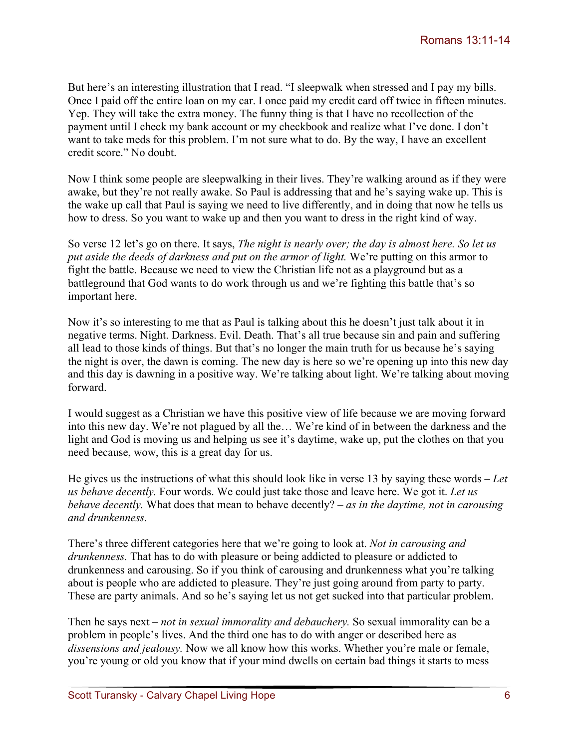But here's an interesting illustration that I read. "I sleepwalk when stressed and I pay my bills. Once I paid off the entire loan on my car. I once paid my credit card off twice in fifteen minutes. Yep. They will take the extra money. The funny thing is that I have no recollection of the payment until I check my bank account or my checkbook and realize what I've done. I don't want to take meds for this problem. I'm not sure what to do. By the way, I have an excellent credit score." No doubt.

Now I think some people are sleepwalking in their lives. They're walking around as if they were awake, but they're not really awake. So Paul is addressing that and he's saying wake up. This is the wake up call that Paul is saying we need to live differently, and in doing that now he tells us how to dress. So you want to wake up and then you want to dress in the right kind of way.

So verse 12 let's go on there. It says, *The night is nearly over; the day is almost here. So let us put aside the deeds of darkness and put on the armor of light.* We're putting on this armor to fight the battle. Because we need to view the Christian life not as a playground but as a battleground that God wants to do work through us and we're fighting this battle that's so important here.

Now it's so interesting to me that as Paul is talking about this he doesn't just talk about it in negative terms. Night. Darkness. Evil. Death. That's all true because sin and pain and suffering all lead to those kinds of things. But that's no longer the main truth for us because he's saying the night is over, the dawn is coming. The new day is here so we're opening up into this new day and this day is dawning in a positive way. We're talking about light. We're talking about moving forward.

I would suggest as a Christian we have this positive view of life because we are moving forward into this new day. We're not plagued by all the… We're kind of in between the darkness and the light and God is moving us and helping us see it's daytime, wake up, put the clothes on that you need because, wow, this is a great day for us.

He gives us the instructions of what this should look like in verse 13 by saying these words – *Let us behave decently.* Four words. We could just take those and leave here. We got it. *Let us behave decently.* What does that mean to behave decently? – *as in the daytime, not in carousing and drunkenness.*

There's three different categories here that we're going to look at. *Not in carousing and drunkenness.* That has to do with pleasure or being addicted to pleasure or addicted to drunkenness and carousing. So if you think of carousing and drunkenness what you're talking about is people who are addicted to pleasure. They're just going around from party to party. These are party animals. And so he's saying let us not get sucked into that particular problem.

Then he says next – *not in sexual immorality and debauchery.* So sexual immorality can be a problem in people's lives. And the third one has to do with anger or described here as *dissensions and jealousy.* Now we all know how this works. Whether you're male or female, you're young or old you know that if your mind dwells on certain bad things it starts to mess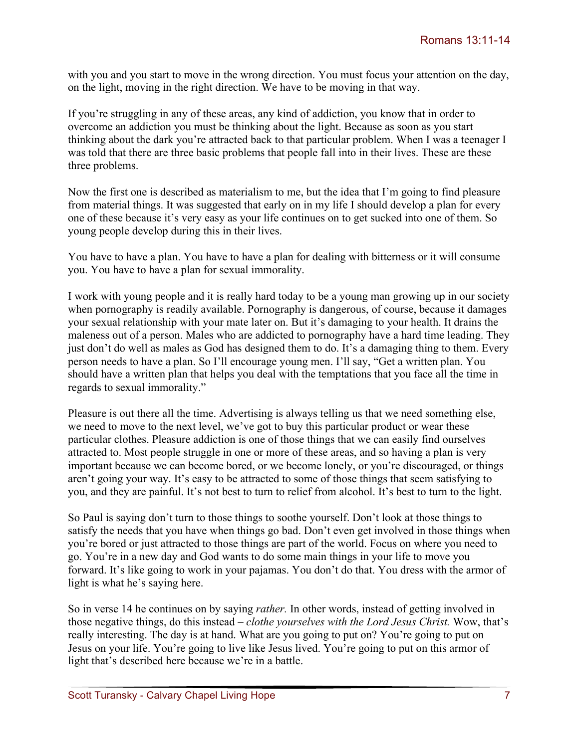with you and you start to move in the wrong direction. You must focus your attention on the day, on the light, moving in the right direction. We have to be moving in that way.

If you're struggling in any of these areas, any kind of addiction, you know that in order to overcome an addiction you must be thinking about the light. Because as soon as you start thinking about the dark you're attracted back to that particular problem. When I was a teenager I was told that there are three basic problems that people fall into in their lives. These are these three problems.

Now the first one is described as materialism to me, but the idea that I'm going to find pleasure from material things. It was suggested that early on in my life I should develop a plan for every one of these because it's very easy as your life continues on to get sucked into one of them. So young people develop during this in their lives.

You have to have a plan. You have to have a plan for dealing with bitterness or it will consume you. You have to have a plan for sexual immorality.

I work with young people and it is really hard today to be a young man growing up in our society when pornography is readily available. Pornography is dangerous, of course, because it damages your sexual relationship with your mate later on. But it's damaging to your health. It drains the maleness out of a person. Males who are addicted to pornography have a hard time leading. They just don't do well as males as God has designed them to do. It's a damaging thing to them. Every person needs to have a plan. So I'll encourage young men. I'll say, "Get a written plan. You should have a written plan that helps you deal with the temptations that you face all the time in regards to sexual immorality."

Pleasure is out there all the time. Advertising is always telling us that we need something else, we need to move to the next level, we've got to buy this particular product or wear these particular clothes. Pleasure addiction is one of those things that we can easily find ourselves attracted to. Most people struggle in one or more of these areas, and so having a plan is very important because we can become bored, or we become lonely, or you're discouraged, or things aren't going your way. It's easy to be attracted to some of those things that seem satisfying to you, and they are painful. It's not best to turn to relief from alcohol. It's best to turn to the light.

So Paul is saying don't turn to those things to soothe yourself. Don't look at those things to satisfy the needs that you have when things go bad. Don't even get involved in those things when you're bored or just attracted to those things are part of the world. Focus on where you need to go. You're in a new day and God wants to do some main things in your life to move you forward. It's like going to work in your pajamas. You don't do that. You dress with the armor of light is what he's saying here.

So in verse 14 he continues on by saying *rather.* In other words, instead of getting involved in those negative things, do this instead – *clothe yourselves with the Lord Jesus Christ.* Wow, that's really interesting. The day is at hand. What are you going to put on? You're going to put on Jesus on your life. You're going to live like Jesus lived. You're going to put on this armor of light that's described here because we're in a battle.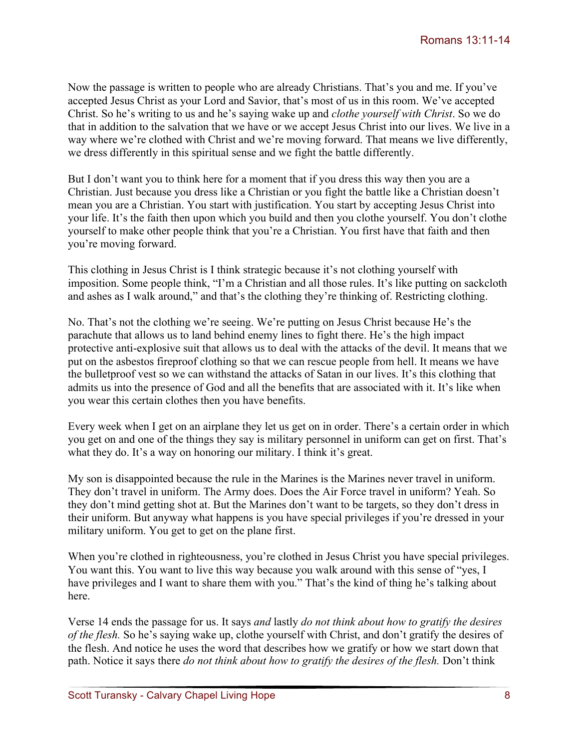Now the passage is written to people who are already Christians. That's you and me. If you've accepted Jesus Christ as your Lord and Savior, that's most of us in this room. We've accepted Christ. So he's writing to us and he's saying wake up and *clothe yourself with Christ*. So we do that in addition to the salvation that we have or we accept Jesus Christ into our lives. We live in a way where we're clothed with Christ and we're moving forward. That means we live differently, we dress differently in this spiritual sense and we fight the battle differently.

But I don't want you to think here for a moment that if you dress this way then you are a Christian. Just because you dress like a Christian or you fight the battle like a Christian doesn't mean you are a Christian. You start with justification. You start by accepting Jesus Christ into your life. It's the faith then upon which you build and then you clothe yourself. You don't clothe yourself to make other people think that you're a Christian. You first have that faith and then you're moving forward.

This clothing in Jesus Christ is I think strategic because it's not clothing yourself with imposition. Some people think, "I'm a Christian and all those rules. It's like putting on sackcloth and ashes as I walk around," and that's the clothing they're thinking of. Restricting clothing.

No. That's not the clothing we're seeing. We're putting on Jesus Christ because He's the parachute that allows us to land behind enemy lines to fight there. He's the high impact protective anti-explosive suit that allows us to deal with the attacks of the devil. It means that we put on the asbestos fireproof clothing so that we can rescue people from hell. It means we have the bulletproof vest so we can withstand the attacks of Satan in our lives. It's this clothing that admits us into the presence of God and all the benefits that are associated with it. It's like when you wear this certain clothes then you have benefits.

Every week when I get on an airplane they let us get on in order. There's a certain order in which you get on and one of the things they say is military personnel in uniform can get on first. That's what they do. It's a way on honoring our military. I think it's great.

My son is disappointed because the rule in the Marines is the Marines never travel in uniform. They don't travel in uniform. The Army does. Does the Air Force travel in uniform? Yeah. So they don't mind getting shot at. But the Marines don't want to be targets, so they don't dress in their uniform. But anyway what happens is you have special privileges if you're dressed in your military uniform. You get to get on the plane first.

When you're clothed in righteousness, you're clothed in Jesus Christ you have special privileges. You want this. You want to live this way because you walk around with this sense of "yes, I have privileges and I want to share them with you." That's the kind of thing he's talking about here.

Verse 14 ends the passage for us. It says *and* lastly *do not think about how to gratify the desires of the flesh.* So he's saying wake up, clothe yourself with Christ, and don't gratify the desires of the flesh. And notice he uses the word that describes how we gratify or how we start down that path. Notice it says there *do not think about how to gratify the desires of the flesh.* Don't think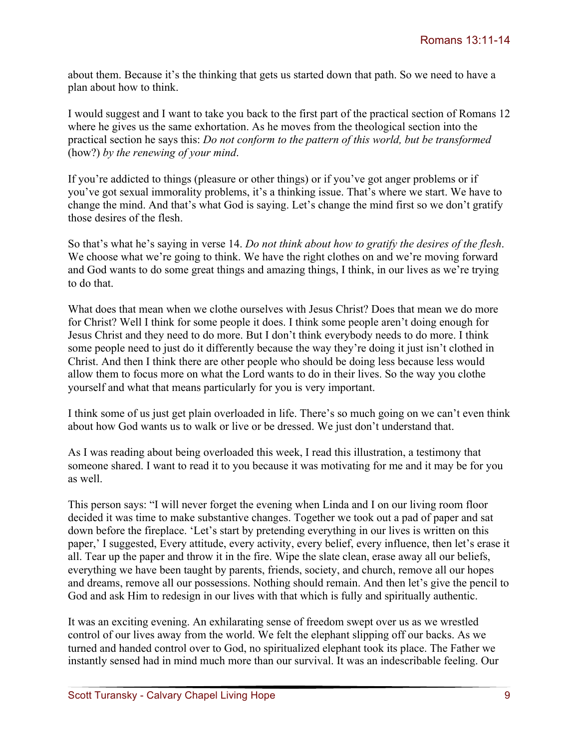about them. Because it's the thinking that gets us started down that path. So we need to have a plan about how to think.

I would suggest and I want to take you back to the first part of the practical section of Romans 12 where he gives us the same exhortation. As he moves from the theological section into the practical section he says this: *Do not conform to the pattern of this world, but be transformed* (how?) *by the renewing of your mind*.

If you're addicted to things (pleasure or other things) or if you've got anger problems or if you've got sexual immorality problems, it's a thinking issue. That's where we start. We have to change the mind. And that's what God is saying. Let's change the mind first so we don't gratify those desires of the flesh.

So that's what he's saying in verse 14. *Do not think about how to gratify the desires of the flesh*. We choose what we're going to think. We have the right clothes on and we're moving forward and God wants to do some great things and amazing things, I think, in our lives as we're trying to do that.

What does that mean when we clothe ourselves with Jesus Christ? Does that mean we do more for Christ? Well I think for some people it does. I think some people aren't doing enough for Jesus Christ and they need to do more. But I don't think everybody needs to do more. I think some people need to just do it differently because the way they're doing it just isn't clothed in Christ. And then I think there are other people who should be doing less because less would allow them to focus more on what the Lord wants to do in their lives. So the way you clothe yourself and what that means particularly for you is very important.

I think some of us just get plain overloaded in life. There's so much going on we can't even think about how God wants us to walk or live or be dressed. We just don't understand that.

As I was reading about being overloaded this week, I read this illustration, a testimony that someone shared. I want to read it to you because it was motivating for me and it may be for you as well.

This person says: "I will never forget the evening when Linda and I on our living room floor decided it was time to make substantive changes. Together we took out a pad of paper and sat down before the fireplace. 'Let's start by pretending everything in our lives is written on this paper,' I suggested, Every attitude, every activity, every belief, every influence, then let's erase it all. Tear up the paper and throw it in the fire. Wipe the slate clean, erase away all our beliefs, everything we have been taught by parents, friends, society, and church, remove all our hopes and dreams, remove all our possessions. Nothing should remain. And then let's give the pencil to God and ask Him to redesign in our lives with that which is fully and spiritually authentic.

It was an exciting evening. An exhilarating sense of freedom swept over us as we wrestled control of our lives away from the world. We felt the elephant slipping off our backs. As we turned and handed control over to God, no spiritualized elephant took its place. The Father we instantly sensed had in mind much more than our survival. It was an indescribable feeling. Our